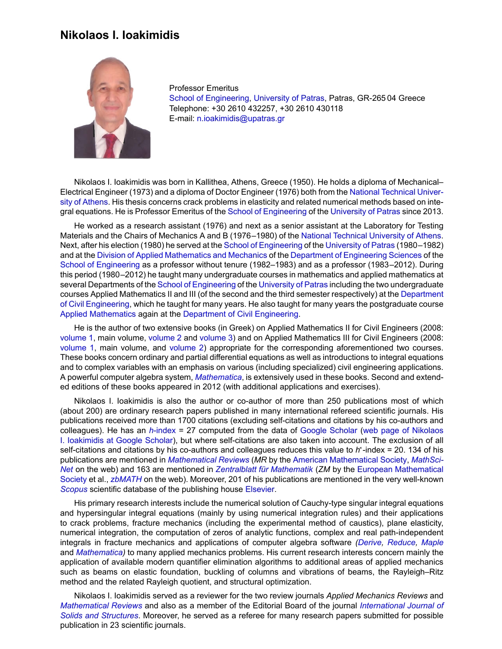## **Nikolaos I. Ioakimidis**



Professor Emeritus [School of Engineering](https://www.upatras.gr/en/node/51), [University of Patras,](https://www.upatras.gr/en) Patras, GR-265 04 Greece Telephone: +30 2610 432257, +30 2610 430118 E-mail: [n.ioakimidis@upatras.gr](mailto: n.ioakimidis@upatras.gr)

Nikolaos I. Ioakimidis was born in Kallithea, Athens, Greece (1950). He holds a diploma of Mechanical– Electrical Engineer (1973) and a diploma of Doctor Engineer (1976) both from the [National Technical Univer](http://www.ntua.gr/index_en.html)[sity of Athens.](http://www.ntua.gr/index_en.html) His thesis concerns crack problems in elasticity and related numerical methods based on integral equations. He is Professor Emeritus of the [School of Engineering](https://www.upatras.gr/en/node/51) of the [University of Patras](https://www.upatras.gr/en) since 2013.

He worked as a research assistant (1976) and next as a senior assistant at the Laboratory for Testing Materials and the Chairs of Mechanics A and B (1976–1980) of the [National Technical University of Athens](http://www.ntua.gr/index_en.html). Next, after his election (1980) he served at the [School of Engineering](https://www.upatras.gr/en/node/51) of the [University of Patras](https://www.upatras.gr/en) (1980–1982) and at the [Division of Applied Mathematics and Mechanics](http://www.des.upatras.gr/ammb/Web%20Tomea/Tomeas.html) of the [Department of Engineering Sciences](http://www.des.upatras.gr/english/indexen.htm) of the [School of Engineering](https://www.upatras.gr/en/node/51) as a professor without tenure (1982–1983) and as a professor (1983–2012). During this period (1980–2012) he taught many undergraduate courses in mathematics and applied mathematics at several Departments of the [School of Engineering](https://www.upatras.gr/en/node/51) of the [University of Patras](https://www.upatras.gr/en) including the two undergraduate courses Applied Mathematics II and III (of the second and the third semester respectively) at the [Department](http://www.civil.upatras.gr/en/) [of Civil Engineering,](http://www.civil.upatras.gr/en/) which he taught for many years. He also taught for many years the postgraduate course [Applied Mathematics](https://eclass.upatras.gr/courses/CIV1555/) again at the [Department of Civil Engineering](http://www.civil.upatras.gr/en/).

He is the author of two extensive books (in Greek) on Applied Mathematics II for Civil Engineers (2008: [volume 1,](https://eclass.upatras.gr/modules/document/file.php/CIV1555/EBOOKS/CEII-Theory-ebook.pdf) main volume, [volume 2](https://eclass.upatras.gr/modules/document/file.php/CIV1555/EBOOKS/CEII-ExercisesNotebooks-ebook.pdf) and [volume 3](https://eclass.upatras.gr/modules/document/file.php/CIV1555/EBOOKS/CE-Mathematica-ebook.pdf)) and on Applied Mathematics III for Civil Engineers (2008: [volume 1](https://eclass.upatras.gr/modules/document/file.php/CIV1555/EBOOKS/CEIII-Theory-ebook.pdf), main volume, and [volume 2\)](https://eclass.upatras.gr/modules/document/file.php/CIV1555/EBOOKS/CEIII-ExercisesNotebooks-ebook.pdf) appropriate for the corresponding aforementioned two courses. These books concern ordinary and partial differential equations as well as introductions to integral equations and to complex variables with an emphasis on various (including specialized) civil engineering applications. A powerful computer algebra system, *[Mathematica](http://www.wolfram.com/mathematica/)*, is extensively used in these books. Second and extended editions of these books appeared in 2012 (with additional applications and exercises).

Nikolaos I. Ioakimidis is also the author or co-author of more than 250 publications most of which (about 200) are ordinary research papers published in many international refereed scientific journals. His publications received more than 1700 citations (excluding self-citations and citations by his co-authors and colleagues). He has an *h*[-index](http://en.wikipedia.org/wiki/H-index) = 27 computed from the data of [Google Scholar](http://scholar.google.gr/) [\(web page of Nikolaos](http://scholar.google.gr/citations?user=zI64KEsAAAAJ&hl=en) [I. Ioakimidis at Google Scholar\)](http://scholar.google.gr/citations?user=zI64KEsAAAAJ&hl=en), but where self-citations are also taken into account. The exclusion of all self-citations and citations by his co-authors and colleagues reduces this value to *h*<sup>\*</sup>-index = 20. 134 of his publications are mentioned in *[Mathematical Reviews](http://www.ams.org/mr-database)* (*MR* by the [American Mathematical Society,](http://www.ams.org/home/page) *[MathSci-](http://www.ams.org/mathscinet/)[Net](http://www.ams.org/mathscinet/)* on the web) and 163 are mentioned in *[Zentralblatt für Mathematik](http://zbmath.org/about/)* (*ZM* by the [European Mathematical](http://www.euro-math-soc.eu/) [Society](http://www.euro-math-soc.eu/) et al., *[zbMATH](http://zbmath.org/)* on the web). Moreover, 201 of his publications are mentioned in the very well-known *[Scopus](http://www.scopus.com)* scientific database of the publishing house [Elsevier.](http://www.elsevier.com/)

His primary research interests include the numerical solution of Cauchy-type singular integral equations and hypersingular integral equations (mainly by using numerical integration rules) and their applications to crack problems, fracture mechanics (including the experimental method of caustics), plane elasticity, numerical integration, the computation of zeros of analytic functions, complex and real path-independent integrals in fracture mechanics and applications of computer algebra software *([Derive](http://www.chartwellyorke.com/derive.html), [Reduce,](http://reduce-algebra.com/) [Maple](http://www.maplesoft.com/products/maple/)* and *[Mathematica\)](http://www.wolfram.com/mathematica/)* to many applied mechanics problems. His current research interests concern mainly the application of available modern quantifier elimination algorithms to additional areas of applied mechanics such as beams on elastic foundation, buckling of columns and vibrations of beams, the Rayleigh–Ritz method and the related Rayleigh quotient, and structural optimization.

Nikolaos I. Ioakimidis served as a reviewer for the two review journals *Applied Mechanics Reviews* and *[Mathematical Reviews](http://www.ams.org/mr-database)* and also as a member of the Editorial Board of the journal *[International Journal of](http://www.journals.elsevier.com/international-journal-of-solids-and-structures/) [Solids and Structures](http://www.journals.elsevier.com/international-journal-of-solids-and-structures/)*. Moreover, he served as a referee for many research papers submitted for possible publication in 23 scientific journals.